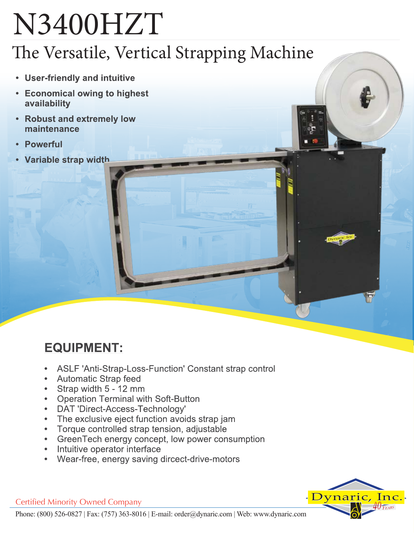# N3400HZT

## The Versatile, Vertical Strapping Machine

- User-friendly and intuitive
- Economical owing to highest availability
- Robust and extremely low maintenance
- **Powerful**
- Variable strap width

## **EQUIPMENT:**

- ASLF 'Anti-Strap-Loss-Function' Constant strap control
- **Automatic Strap feed**
- Strap width 5 12 mm
- **Operation Terminal with Soft-Button**
- DAT 'Direct-Access-Technology'  $\bullet$
- The exclusive eject function avoids strap jam
- Torque controlled strap tension, adjustable
- GreenTech energy concept, low power consumption
- Intuitive operator interface
- Wear-free, energy saving dircect-drive-motors



**Certified Minority Owned Company**